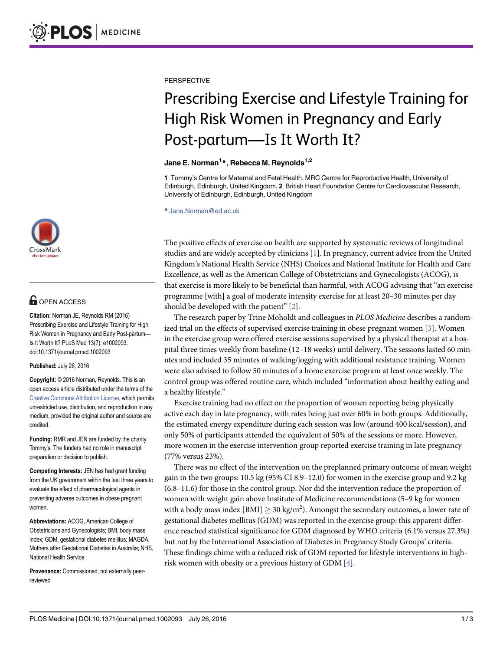

## **G** OPEN ACCESS

Citation: Norman JE, Reynolds RM (2016) Prescribing Exercise and Lifestyle Training for High Risk Women in Pregnancy and Early Post-partum— Is It Worth It? PLoS Med 13(7): e1002093. doi:10.1371/journal.pmed.1002093

Published: July 26, 2016

Copyright: © 2016 Norman, Reynolds. This is an open access article distributed under the terms of the [Creative Commons Attribution License,](http://creativecommons.org/licenses/by/4.0/) which permits unrestricted use, distribution, and reproduction in any medium, provided the original author and source are credited.

Funding: RMR and JEN are funded by the charity Tommy's. The funders had no role in manuscript preparation or decision to publish.

Competing Interests: JEN has had grant funding from the UK government within the last three years to evaluate the effect of pharmacological agents in preventing adverse outcomes in obese pregnant women.

Abbreviations: ACOG, American College of Obstetricians and Gynecologists; BMI, body mass index; GDM, gestational diabetes mellitus; MAGDA, Mothers after Gestational Diabetes in Australia; NHS, National Health Service

Provenance: Commissioned; not externally peerreviewed

<span id="page-0-0"></span>**PERSPECTIVE** 

# Prescribing Exercise and Lifestyle Training for High Risk Women in Pregnancy and Early Post-partum—Is It Worth It?

#### Jane E. Norman<sup>1</sup>\*, Rebecca M. Reynolds<sup>1,2</sup>

1 Tommy's Centre for Maternal and Fetal Health, MRC Centre for Reproductive Health, University of Edinburgh, Edinburgh, United Kingdom, 2 British Heart Foundation Centre for Cardiovascular Research, University of Edinburgh, Edinburgh, United Kingdom

\* Jane.Norman@ed.ac.uk

The positive effects of exercise on health are supported by systematic reviews of longitudinal studies and are widely accepted by clinicians [\[1\]](#page-2-0). In pregnancy, current advice from the United Kingdom's National Health Service (NHS) Choices and National Institute for Health and Care Excellence, as well as the American College of Obstetricians and Gynecologists (ACOG), is that exercise is more likely to be beneficial than harmful, with ACOG advising that "an exercise programme [with] a goal of moderate intensity exercise for at least 20–30 minutes per day should be developed with the patient"  $[2]$  $[2]$ .

The research paper by Trine Moholdt and colleagues in PLOS Medicine describes a randomized trial on the effects of supervised exercise training in obese pregnant women  $[3]$  $[3]$ . Women in the exercise group were offered exercise sessions supervised by a physical therapist at a hospital three times weekly from baseline (12–18 weeks) until delivery. The sessions lasted 60 minutes and included 35 minutes of walking/jogging with additional resistance training. Women were also advised to follow 50 minutes of a home exercise program at least once weekly. The control group was offered routine care, which included "information about healthy eating and a healthy lifestyle."

Exercise training had no effect on the proportion of women reporting being physically active each day in late pregnancy, with rates being just over 60% in both groups. Additionally, the estimated energy expenditure during each session was low (around 400 kcal/session), and only 50% of participants attended the equivalent of 50% of the sessions or more. However, more women in the exercise intervention group reported exercise training in late pregnancy (77% versus 23%).

There was no effect of the intervention on the preplanned primary outcome of mean weight gain in the two groups: 10.5 kg (95% CI 8.9–12.0) for women in the exercise group and 9.2 kg (6.8–11.6) for those in the control group. Nor did the intervention reduce the proportion of women with weight gain above Institute of Medicine recommendations (5–9 kg for women with a body mass index [BMI]  $\geq 30$  kg/m<sup>2</sup>). Amongst the secondary outcomes, a lower rate of gestational diabetes mellitus (GDM) was reported in the exercise group: this apparent difference reached statistical significance for GDM diagnosed by WHO criteria (6.1% versus 27.3%) but not by the International Association of Diabetes in Pregnancy Study Groups' criteria. These findings chime with a reduced risk of GDM reported for lifestyle interventions in highrisk women with obesity or a previous history of GDM  $[4]$  $[4]$  $[4]$ .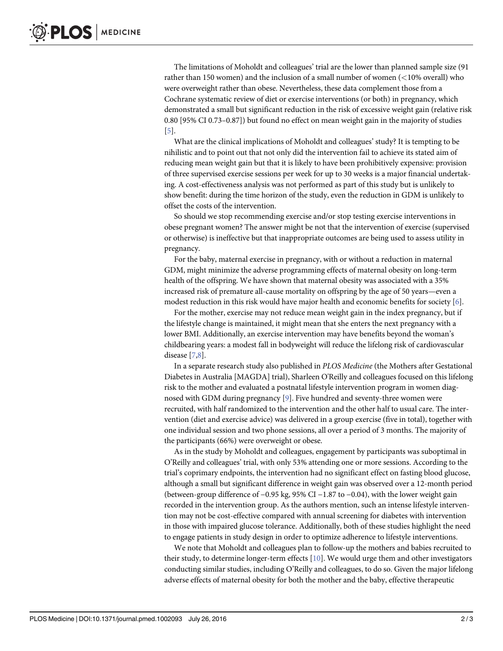<span id="page-1-0"></span>The limitations of Moholdt and colleagues' trial are the lower than planned sample size (91 rather than 150 women) and the inclusion of a small number of women (<10% overall) who were overweight rather than obese. Nevertheless, these data complement those from a Cochrane systematic review of diet or exercise interventions (or both) in pregnancy, which demonstrated a small but significant reduction in the risk of excessive weight gain (relative risk 0.80 [95% CI 0.73–0.87]) but found no effect on mean weight gain in the majority of studies [\[5](#page-2-0)].

What are the clinical implications of Moholdt and colleagues' study? It is tempting to be nihilistic and to point out that not only did the intervention fail to achieve its stated aim of reducing mean weight gain but that it is likely to have been prohibitively expensive: provision of three supervised exercise sessions per week for up to 30 weeks is a major financial undertaking. A cost-effectiveness analysis was not performed as part of this study but is unlikely to show benefit: during the time horizon of the study, even the reduction in GDM is unlikely to offset the costs of the intervention.

So should we stop recommending exercise and/or stop testing exercise interventions in obese pregnant women? The answer might be not that the intervention of exercise (supervised or otherwise) is ineffective but that inappropriate outcomes are being used to assess utility in pregnancy.

For the baby, maternal exercise in pregnancy, with or without a reduction in maternal GDM, might minimize the adverse programming effects of maternal obesity on long-term health of the offspring. We have shown that maternal obesity was associated with a 35% increased risk of premature all-cause mortality on offspring by the age of 50 years—even a modest reduction in this risk would have major health and economic benefits for society [\[6](#page-2-0)].

For the mother, exercise may not reduce mean weight gain in the index pregnancy, but if the lifestyle change is maintained, it might mean that she enters the next pregnancy with a lower BMI. Additionally, an exercise intervention may have benefits beyond the woman's childbearing years: a modest fall in bodyweight will reduce the lifelong risk of cardiovascular disease [\[7,8](#page-2-0)].

In a separate research study also published in PLOS Medicine (the Mothers after Gestational Diabetes in Australia [MAGDA] trial), Sharleen O'Reilly and colleagues focused on this lifelong risk to the mother and evaluated a postnatal lifestyle intervention program in women diagnosed with GDM during pregnancy [\[9\]](#page-2-0). Five hundred and seventy-three women were recruited, with half randomized to the intervention and the other half to usual care. The intervention (diet and exercise advice) was delivered in a group exercise (five in total), together with one individual session and two phone sessions, all over a period of 3 months. The majority of the participants (66%) were overweight or obese.

As in the study by Moholdt and colleagues, engagement by participants was suboptimal in O'Reilly and colleagues' trial, with only 53% attending one or more sessions. According to the trial's coprimary endpoints, the intervention had no significant effect on fasting blood glucose, although a small but significant difference in weight gain was observed over a 12-month period (between-group difference of −0.95 kg, 95% CI −1.87 to −0.04), with the lower weight gain recorded in the intervention group. As the authors mention, such an intense lifestyle intervention may not be cost-effective compared with annual screening for diabetes with intervention in those with impaired glucose tolerance. Additionally, both of these studies highlight the need to engage patients in study design in order to optimize adherence to lifestyle interventions.

We note that Moholdt and colleagues plan to follow-up the mothers and babies recruited to their study, to determine longer-term effects [[10](#page-2-0)]. We would urge them and other investigators conducting similar studies, including O'Reilly and colleagues, to do so. Given the major lifelong adverse effects of maternal obesity for both the mother and the baby, effective therapeutic